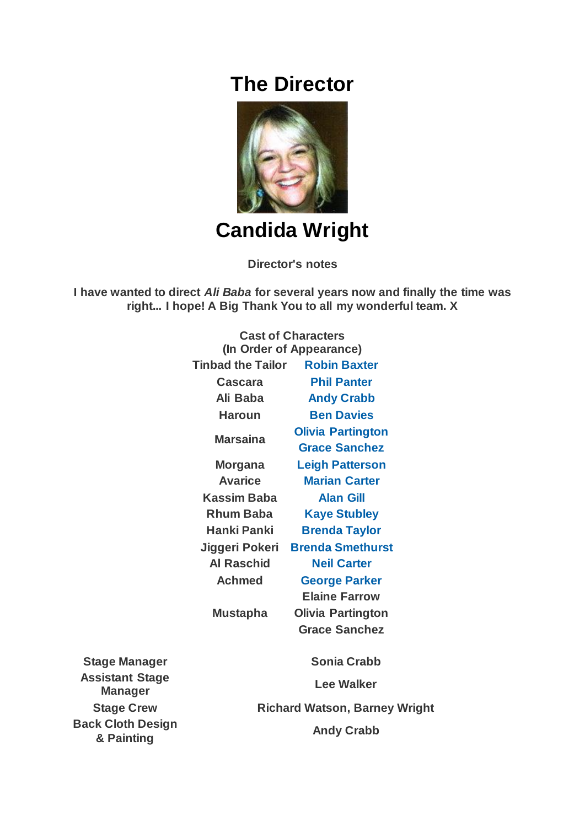## **The Director**



**Candida Wright**

**Director's notes**

**I have wanted to direct** *Ali Baba* **for several years now and finally the time was right... I hope! A Big Thank You to all my wonderful team. X**

|                                          | <b>Cast of Characters</b><br>(In Order of Appearance) |                          |
|------------------------------------------|-------------------------------------------------------|--------------------------|
|                                          | <b>Tinbad the Tailor</b>                              | <b>Robin Baxter</b>      |
|                                          | <b>Cascara</b>                                        | <b>Phil Panter</b>       |
|                                          | Ali Baba                                              | <b>Andy Crabb</b>        |
|                                          | <b>Haroun</b>                                         | <b>Ben Davies</b>        |
|                                          | <b>Marsaina</b>                                       | <b>Olivia Partington</b> |
|                                          |                                                       | <b>Grace Sanchez</b>     |
|                                          | <b>Morgana</b>                                        | <b>Leigh Patterson</b>   |
|                                          | <b>Avarice</b>                                        | <b>Marian Carter</b>     |
|                                          | <b>Kassim Baba</b>                                    | <b>Alan Gill</b>         |
|                                          | <b>Rhum Baba</b>                                      | <b>Kaye Stubley</b>      |
|                                          | Hanki Panki                                           | <b>Brenda Taylor</b>     |
|                                          | Jiggeri Pokeri                                        | <b>Brenda Smethurst</b>  |
|                                          | <b>Al Raschid</b>                                     | <b>Neil Carter</b>       |
|                                          | <b>Achmed</b>                                         | <b>George Parker</b>     |
|                                          |                                                       | <b>Elaine Farrow</b>     |
|                                          | <b>Mustapha</b>                                       | <b>Olivia Partington</b> |
|                                          |                                                       | <b>Grace Sanchez</b>     |
| <b>Stage Manager</b>                     |                                                       | <b>Sonia Crabb</b>       |
| <b>Assistant Stage</b><br><b>Manager</b> | <b>Lee Walker</b>                                     |                          |
| <b>Stage Crew</b>                        | <b>Richard Watson, Barney Wright</b>                  |                          |
| <b>Back Cloth Design</b><br>& Painting   | <b>Andy Crabb</b>                                     |                          |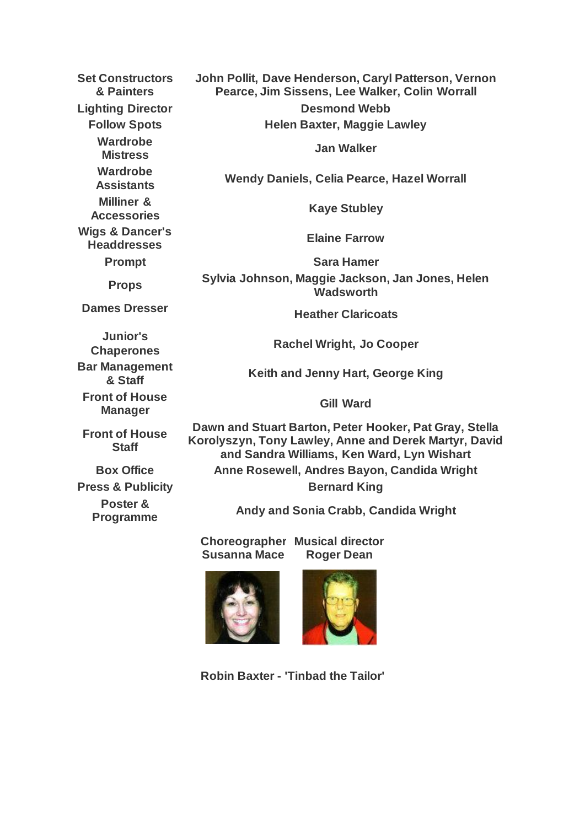**Set Constructors & Painters John Pollit, Dave Henderson, Caryl Patterson, Vernon Pearce, Jim Sissens, Lee Walker, Colin Worrall Lighting Director Desmond Webb Follow Spots Helen Baxter, Maggie Lawley Wardrobe Mistress Jan Walker Wardrobe Assistants Wendy Daniels, Celia Pearce, Hazel Worrall Milliner & Accessories Kaye Stubley Wigs & Dancer's Headdresses Elaine Farrow Prompt Sara Hamer Props Sylvia Johnson, Maggie Jackson, Jan Jones, Helen Wadsworth Dames Dresser Heather Claricoats Junior's Chaperones Rachel Wright, Jo Cooper Bar Management & Staff Keith and Jenny Hart, George King Front of House Manager Gill Ward Front of House Staff Dawn and Stuart Barton, Peter Hooker, Pat Gray, Stella Korolyszyn, Tony Lawley, Anne and Derek Martyr, David and Sandra Williams, Ken Ward, Lyn Wishart Box Office Anne Rosewell, Andres Bayon, Candida Wright Press & Publicity Bernard King Poster & Programme Andy and Sonia Crabb, Candida Wright Choreographer Musical director**

**Susanna Mace Roger Dean**





**Robin Baxter - 'Tinbad the Tailor'**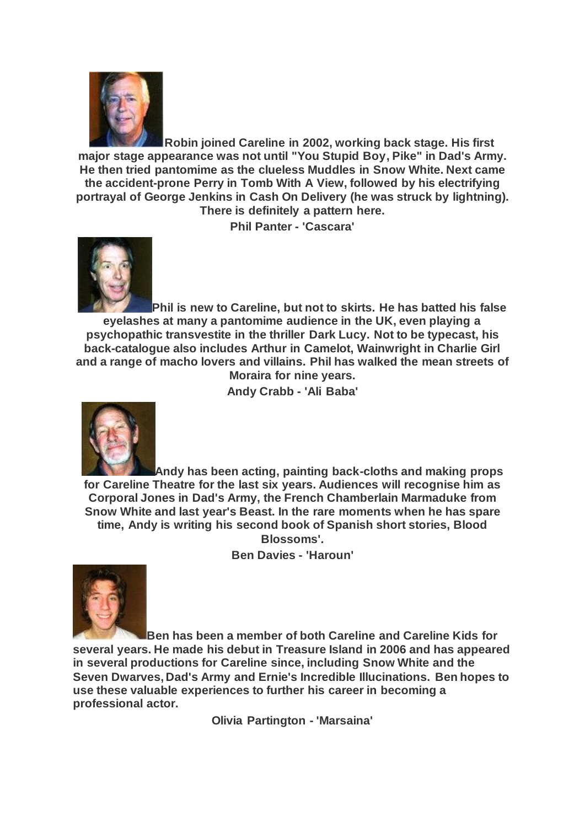

**Robin joined Careline in 2002, working back stage. His first major stage appearance was not until "You Stupid Boy, Pike" in Dad's Army. He then tried pantomime as the clueless Muddles in Snow White. Next came the accident-prone Perry in Tomb With A View, followed by his electrifying portrayal of George Jenkins in Cash On Delivery (he was struck by lightning). There is definitely a pattern here.**

**Phil Panter - 'Cascara'**



**Phil is new to Careline, but not to skirts. He has batted his false eyelashes at many a pantomime audience in the UK, even playing a psychopathic transvestite in the thriller Dark Lucy. Not to be typecast, his back-catalogue also includes Arthur in Camelot, Wainwright in Charlie Girl and a range of macho lovers and villains. Phil has walked the mean streets of Moraira for nine years.**

**Andy Crabb - 'Ali Baba'**



**Andy has been acting, painting back-cloths and making props for Careline Theatre for the last six years. Audiences will recognise him as Corporal Jones in Dad's Army, the French Chamberlain Marmaduke from Snow White and last year's Beast. In the rare moments when he has spare time, Andy is writing his second book of Spanish short stories, Blood Blossoms'.**

**Ben Davies - 'Haroun'**



**Ben has been a member of both Careline and Careline Kids for several years. He made his debut in Treasure Island in 2006 and has appeared in several productions for Careline since, including Snow White and the Seven Dwarves, Dad's Army and Ernie's Incredible Illucinations. Ben hopes to use these valuable experiences to further his career in becoming a professional actor.**

**Olivia Partington - 'Marsaina'**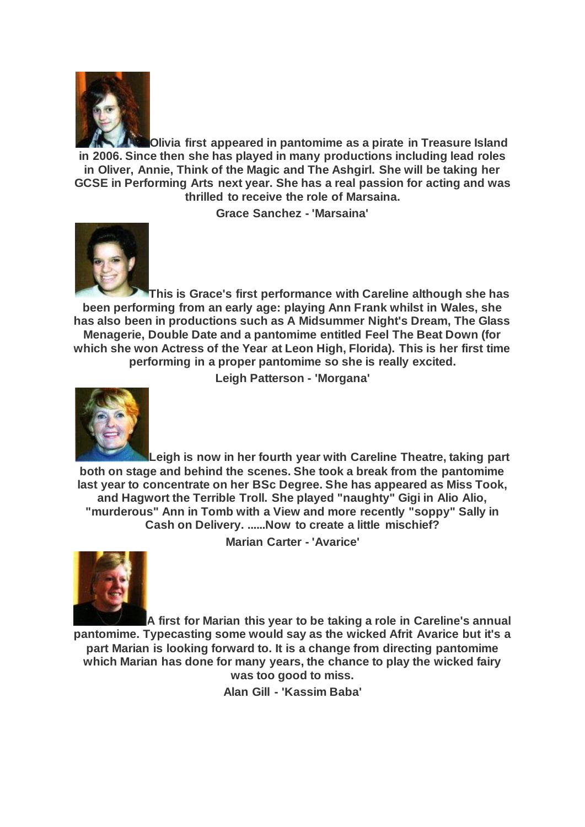

**Olivia first appeared in pantomime as a pirate in Treasure Island in 2006. Since then she has played in many productions including lead roles in Oliver, Annie, Think of the Magic and The Ashgirl. She will be taking her GCSE in Performing Arts next year. She has a real passion for acting and was thrilled to receive the role of Marsaina.**

**Grace Sanchez - 'Marsaina'**



**This is Grace's first performance with Careline although she has been performing from an early age: playing Ann Frank whilst in Wales, she has also been in productions such as A Midsummer Night's Dream, The Glass Menagerie, Double Date and a pantomime entitled Feel The Beat Down (for which she won Actress of the Year at Leon High, Florida). This is her first time performing in a proper pantomime so she is really excited.**

**Leigh Patterson - 'Morgana'**



**Leigh is now in her fourth year with Careline Theatre, taking part both on stage and behind the scenes. She took a break from the pantomime last year to concentrate on her BSc Degree. She has appeared as Miss Took, and Hagwort the Terrible Troll. She played "naughty" Gigi in Alio Alio, "murderous" Ann in Tomb with a View and more recently "soppy" Sally in Cash on Delivery. ......Now to create a little mischief?**

**Marian Carter - 'Avarice'**



**A first for Marian this year to be taking a role in Careline's annual pantomime. Typecasting some would say as the wicked Afrit Avarice but it's a part Marian is looking forward to. It is a change from directing pantomime which Marian has done for many years, the chance to play the wicked fairy was too good to miss.**

**Alan Gill - 'Kassim Baba'**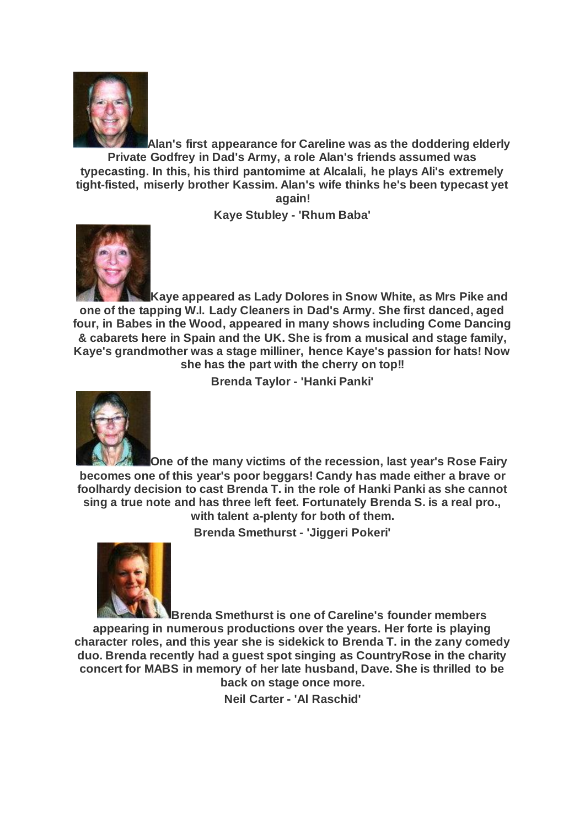

**Alan's first appearance for Careline was as the doddering elderly Private Godfrey in Dad's Army, a role Alan's friends assumed was typecasting. In this, his third pantomime at Alcalali, he plays Ali's extremely tight-fisted, miserly brother Kassim. Alan's wife thinks he's been typecast yet again!**

**Kaye Stubley - 'Rhum Baba'**



**Kaye appeared as Lady Dolores in Snow White, as Mrs Pike and one of the tapping W.I. Lady Cleaners in Dad's Army. She first danced, aged four, in Babes in the Wood, appeared in many shows including Come Dancing & cabarets here in Spain and the UK. She is from a musical and stage family, Kaye's grandmother was a stage milliner, hence Kaye's passion for hats! Now she has the part with the cherry on top!!**

**Brenda Taylor - 'Hanki Panki'**



**One of the many victims of the recession, last year's Rose Fairy becomes one of this year's poor beggars! Candy has made either a brave or foolhardy decision to cast Brenda T. in the role of Hanki Panki as she cannot sing a true note and has three left feet. Fortunately Brenda S. is a real pro., with talent a-plenty for both of them.**

**Brenda Smethurst - 'Jiggeri Pokeri'**



**Brenda Smethurst is one of Careline's founder members appearing in numerous productions over the years. Her forte is playing character roles, and this year she is sidekick to Brenda T. in the zany comedy duo. Brenda recently had a guest spot singing as CountryRose in the charity concert for MABS in memory of her late husband, Dave. She is thrilled to be back on stage once more.**

**Neil Carter - 'Al Raschid'**